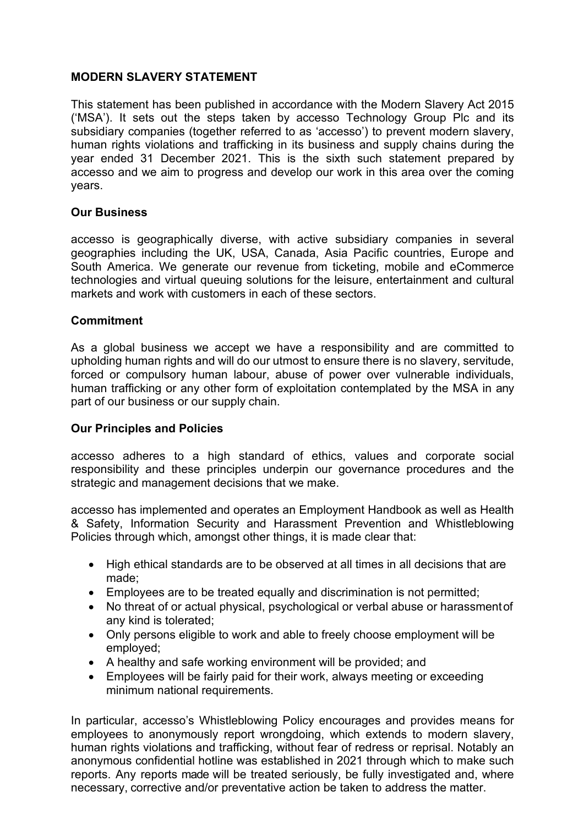## **MODERN SLAVERY STATEMENT**

This statement has been published in accordance with the Modern Slavery Act 2015 ('MSA'). It sets out the steps taken by accesso Technology Group Plc and its subsidiary companies (together referred to as 'accesso') to prevent modern slavery, human rights violations and trafficking in its business and supply chains during the year ended 31 December 2021. This is the sixth such statement prepared by accesso and we aim to progress and develop our work in this area over the coming years.

### **Our Business**

accesso is geographically diverse, with active subsidiary companies in several geographies including the UK, USA, Canada, Asia Pacific countries, Europe and South America. We generate our revenue from ticketing, mobile and eCommerce technologies and virtual queuing solutions for the leisure, entertainment and cultural markets and work with customers in each of these sectors.

### **Commitment**

As a global business we accept we have a responsibility and are committed to upholding human rights and will do our utmost to ensure there is no slavery, servitude, forced or compulsory human labour, abuse of power over vulnerable individuals, human trafficking or any other form of exploitation contemplated by the MSA in any part of our business or our supply chain.

#### **Our Principles and Policies**

accesso adheres to a high standard of ethics, values and corporate social responsibility and these principles underpin our governance procedures and the strategic and management decisions that we make.

accesso has implemented and operates an Employment Handbook as well as Health & Safety, Information Security and Harassment Prevention and Whistleblowing Policies through which, amongst other things, it is made clear that:

- High ethical standards are to be observed at all times in all decisions that are made;
- Employees are to be treated equally and discrimination is not permitted;
- No threat of or actual physical, psychological or verbal abuse or harassmentof any kind is tolerated;
- Only persons eligible to work and able to freely choose employment will be employed;
- A healthy and safe working environment will be provided; and
- Employees will be fairly paid for their work, always meeting or exceeding minimum national requirements.

In particular, accesso's Whistleblowing Policy encourages and provides means for employees to anonymously report wrongdoing, which extends to modern slavery, human rights violations and trafficking, without fear of redress or reprisal. Notably an anonymous confidential hotline was established in 2021 through which to make such reports. Any reports made will be treated seriously, be fully investigated and, where necessary, corrective and/or preventative action be taken to address the matter.